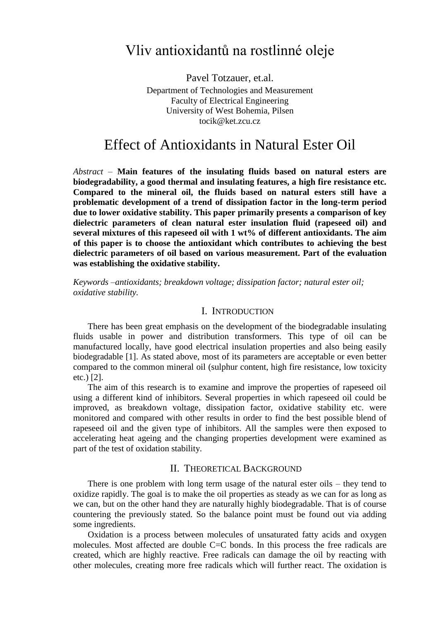# Vliv antioxidantů na rostlinné oleje

Pavel Totzauer, et.al. Department of Technologies and Measurement Faculty of Electrical Engineering University of West Bohemia, Pilsen tocik@ket.zcu.cz

# Effect of Antioxidants in Natural Ester Oil

*Abstract –* **Main features of the insulating fluids based on natural esters are biodegradability, a good thermal and insulating features, a high fire resistance etc. Compared to the mineral oil, the fluids based on natural esters still have a problematic development of a trend of dissipation factor in the long-term period due to lower oxidative stability. This paper primarily presents a comparison of key dielectric parameters of clean natural ester insulation fluid (rapeseed oil) and several mixtures of this rapeseed oil with 1 wt% of different antioxidants. The aim of this paper is to choose the antioxidant which contributes to achieving the best dielectric parameters of oil based on various measurement. Part of the evaluation was establishing the oxidative stability.** 

*Keywords –antioxidants; breakdown voltage; dissipation factor; natural ester oil; oxidative stability.*

### I. INTRODUCTION

There has been great emphasis on the development of the biodegradable insulating fluids usable in power and distribution transformers. This type of oil can be manufactured locally, have good electrical insulation properties and also being easily biodegradable [1]. As stated above, most of its parameters are acceptable or even better compared to the common mineral oil (sulphur content, high fire resistance, low toxicity etc.) [2].

The aim of this research is to examine and improve the properties of rapeseed oil using a different kind of inhibitors. Several properties in which rapeseed oil could be improved, as breakdown voltage, dissipation factor, oxidative stability etc. were monitored and compared with other results in order to find the best possible blend of rapeseed oil and the given type of inhibitors. All the samples were then exposed to accelerating heat ageing and the changing properties development were examined as part of the test of oxidation stability.

### II. THEORETICAL BACKGROUND

There is one problem with long term usage of the natural ester oils – they tend to oxidize rapidly. The goal is to make the oil properties as steady as we can for as long as we can, but on the other hand they are naturally highly biodegradable. That is of course countering the previously stated. So the balance point must be found out via adding some ingredients.

Oxidation is a process between molecules of unsaturated fatty acids and oxygen molecules. Most affected are double C=C bonds. In this process the free radicals are created, which are highly reactive. Free radicals can damage the oil by reacting with other molecules, creating more free radicals which will further react. The oxidation is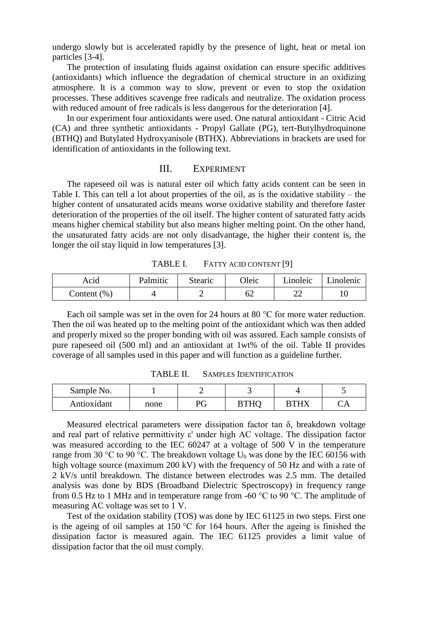undergo slowly but is accelerated rapidly by the presence of light, heat or metal ion particles [3-4].

The protection of insulating fluids against oxidation can ensure specific additives (antioxidants) which influence the degradation of chemical structure in an oxidizing atmosphere. It is a common way to slow, prevent or even to stop the oxidation processes. These additives scavenge free radicals and neutralize. The oxidation process with reduced amount of free radicals is less dangerous for the deterioration [4].

In our experiment four antioxidants were used. One natural antioxidant - Citric Acid (CA) and three synthetic antioxidants - Propyl Gallate (PG), tert-Butylhydroquinone (BTHQ) and Butylated Hydroxyanisole (BTHX). Abbreviations in brackets are used for identification of antioxidants in the following text.

### III. EXPERIMENT

The rapeseed oil was is natural ester oil which fatty acids content can be seen in Table I. This can tell a lot about properties of the oil, as is the oxidative stability – the higher content of unsaturated acids means worse oxidative stability and therefore faster deterioration of the properties of the oil itself. The higher content of saturated fatty acids means higher chemical stability but also means higher melting point. On the other hand, the unsaturated fatty acids are not only disadvantage, the higher their content is, the longer the oil stay liquid in low temperatures [3].

| Acid           | Palmitic | Stearic | Oleic | Linoleic   Linolenic |  |
|----------------|----------|---------|-------|----------------------|--|
| Content $(\%)$ |          |         | JZ.   |                      |  |

TABLE I. FATTY ACID CONTENT [9]

Each oil sample was set in the oven for 24 hours at 80 °C for more water reduction. Then the oil was heated up to the melting point of the antioxidant which was then added and properly mixed so the proper bonding with oil was assured. Each sample consists of pure rapeseed oil (500 ml) and an antioxidant at 1wt% of the oil. Table II provides coverage of all samples used in this paper and will function as a guideline further.

| Sample No.  |      |    |      |             |  |
|-------------|------|----|------|-------------|--|
| Antioxidant | none | РG | BTHC | <b>BTHY</b> |  |

TABLE II. SAMPLES IDENTIFICATION

Measured electrical parameters were dissipation factor tan  $\delta$ , breakdown voltage and real part of relative permittivity ε' under high AC voltage. The dissipation factor was measured according to the IEC 60247 at a voltage of 500 V in the temperature range from 30 °C to 90 °C. The breakdown voltage  $U_b$  was done by the IEC 60156 with high voltage source (maximum 200 kV) with the frequency of 50 Hz and with a rate of 2 kV/s until breakdown. The distance between electrodes was 2.5 mm. The detailed analysis was done by BDS (Broadband Dielectric Spectroscopy) in frequency range from 0.5 Hz to 1 MHz and in temperature range from -60 °C to 90 °C. The amplitude of measuring AC voltage was set to 1 V.

Test of the oxidation stability (TOS) was done by IEC 61125 in two steps. First one is the ageing of oil samples at 150 °C for 164 hours. After the ageing is finished the dissipation factor is measured again. The IEC 61125 provides a limit value of dissipation factor that the oil must comply.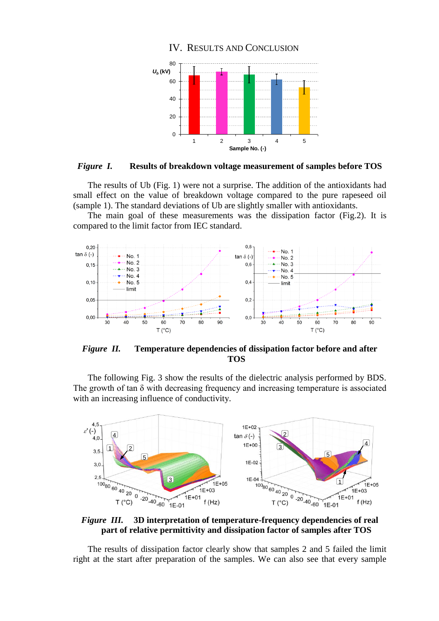

*Figure I.* **Results of breakdown voltage measurement of samples before TOS**

The results of Ub (Fig. 1) were not a surprise. The addition of the antioxidants had small effect on the value of breakdown voltage compared to the pure rapeseed oil (sample 1). The standard deviations of Ub are slightly smaller with antioxidants.

The main goal of these measurements was the dissipation factor (Fig.2). It is compared to the limit factor from IEC standard.



*Figure II.* **Temperature dependencies of dissipation factor before and after TOS**

The following Fig. 3 show the results of the dielectric analysis performed by BDS. The growth of tan  $\delta$  with decreasing frequency and increasing temperature is associated with an increasing influence of conductivity.



*Figure III.* **3D interpretation of temperature-frequency dependencies of real part of relative permittivity and dissipation factor of samples after TOS**

The results of dissipation factor clearly show that samples 2 and 5 failed the limit right at the start after preparation of the samples. We can also see that every sample